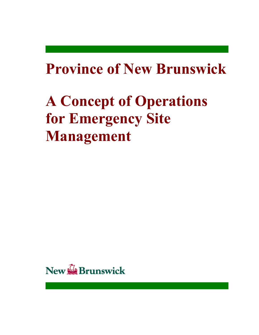# **Province of New Brunswick**

# **A Concept of Operations for Emergency Site Management**

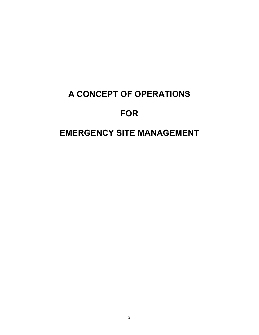# **A CONCEPT OF OPERATIONS**

# **FOR**

# **EMERGENCY SITE MANAGEMENT**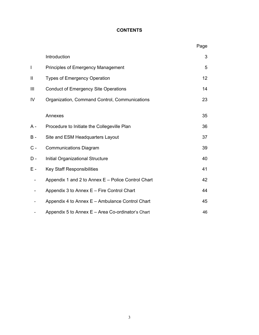# **CONTENTS**

|                          |                                                    | Page |
|--------------------------|----------------------------------------------------|------|
|                          | Introduction                                       | 3    |
| $\overline{\phantom{a}}$ | Principles of Emergency Management                 | 5    |
| $\mathbf{I}$             | <b>Types of Emergency Operation</b>                | 12   |
| III                      | <b>Conduct of Emergency Site Operations</b>        | 14   |
| IV                       | Organization, Command Control, Communications      | 23   |
|                          | Annexes                                            | 35   |
| A -                      | Procedure to Initiate the Collegeville Plan        | 36   |
| $B -$                    | Site and ESM Headquarters Layout                   | 37   |
| $C -$                    | <b>Communications Diagram</b>                      | 39   |
| $D -$                    | Initial Organizational Structure                   | 40   |
| E -                      | <b>Key Staff Responsibilities</b>                  | 41   |
|                          | Appendix 1 and 2 to Annex E - Police Control Chart | 42   |
|                          | Appendix 3 to Annex E - Fire Control Chart         | 44   |
|                          | Appendix 4 to Annex E - Ambulance Control Chart    | 45   |
|                          | Appendix 5 to Annex E - Area Co-ordinator's Chart  | 46   |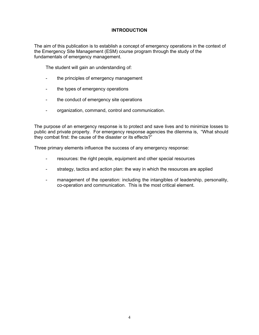## **INTRODUCTION**

The aim of this publication is to establish a concept of emergency operations in the context of the Emergency Site Management (ESM) course program through the study of the fundamentals of emergency management.

The student will gain an understanding of:

- the principles of emergency management
- the types of emergency operations
- the conduct of emergency site operations
- organization, command, control and communication.

The purpose of an emergency response is to protect and save lives and to minimize losses to public and private property. For emergency response agencies the dilemma is, "What should they combat first: the cause of the disaster or its effects?"

Three primary elements influence the success of any emergency response:

- resources: the right people, equipment and other special resources
- strategy, tactics and action plan: the way in which the resources are applied
- management of the operation: including the intangibles of leadership, personality, co-operation and communication. This is the most critical element.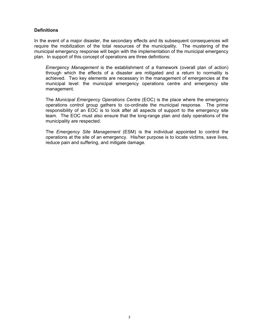#### **Definitions**

In the event of a major disaster, the secondary effects and its subsequent consequences will require the mobilization of the total resources of the municipality. The mustering of the municipal emergency response will begin with the implementation of the municipal emergency plan. In support of this concept of operations are three definitions:

*Emergency Management* is the establishment of a framework (overall plan of action) through which the effects of a disaster are mitigated and a return to normality is achieved. Two key elements are necessary in the management of emergencies at the municipal level: the municipal emergency operations centre and emergency site management.

 The *Municipal Emergency Operations Centre* (EOC) is the place where the emergency operations control group gathers to co-ordinate the municipal response. The prime responsibility of an EOC is to look after all aspects of support to the emergency site team. The EOC must also ensure that the long-range plan and daily operations of the municipality are respected.

 The *Emergency Site Management* (ESM) is the individual appointed to control the operations at the site of an emergency. His/her purpose is to locate victims, save lives, reduce pain and suffering, and mitigate damage.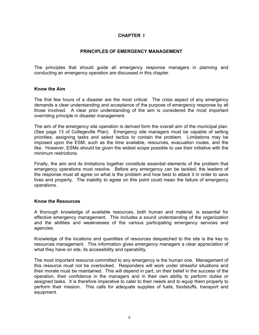#### **CHAPTER I**

#### **PRINCIPLES OF EMERGENCY MANAGEMENT**

The principles that should guide all emergency response managers in planning and conducting an emergency operation are discussed in this chapter.

#### **Know the Aim**

The first few hours of a disaster are the most critical. The crisis aspect of any emergency demands a clear understanding and acceptance of the purpose of emergency response by all those involved. A clear prior understanding of the aim is considered the most important overriding principle in disaster management.

The aim of the emergency site operation is derived form the overall aim of the municipal plan. (See page 13 of Collegeville Plan). Emergency site managers must be capable of setting priorities, assigning tasks and select tactics to contain the problem. Limitations may be imposed upon the ESM, such as the time available, resources, evacuation routes, and the like. However, ESMs should be given the widest scope possible to use their initiative with the minimum restrictions.

Finally, the aim and its limitations together constitute essential elements of the problem that emergency operations must resolve. Before any emergency can be tackled, the leaders of the response must all agree on what is the problem and how best to attack it in order to save lives and property. The inability to agree on this point could mean the failure of emergency operations.

#### **Know the Resources**

A thorough knowledge of available resources, both human and material, is essential for effective emergency management. This includes a sound understanding of the organization and the abilities and weaknesses of the various participating emergency services and agencies.

Knowledge of the locations and quantities of resources despatched to the site is the key to resources management. This information gives emergency managers a clear appreciation of what they have on site, its accessibility and operability.

The most important resource committed to any emergency is the human one. Management of this resource must not be overlooked. Responders will work under stressful situations and their morale must be maintained. This will depend in part, on their belief in the success of the operation, their confidence in the managers and in their own ability to perform duties or assigned tasks. It is therefore imperative to cater to their needs and to equip them properly to perform their mission. This calls for adequate supplies of fuels, foodstuffs, transport and equipment.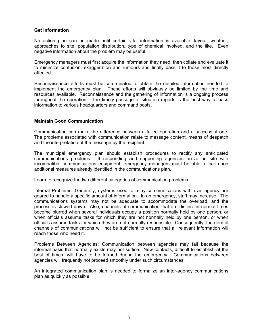#### **Get Information**

No action plan can be made until certain vital information is available: layout, weather, approaches to site, population distribution, type of chemical involved, and the like. Even negative information about the problem may be useful.

Emergency managers must first acquire the information they need, then collate and evaluate it to minimize confusion, exaggeration and rumours and finally pass it to those most directly affected.

Reconnaissance efforts must be co-ordinated to obtain the detailed information needed to implement the emergency plan. These efforts will obviously be limited by the time and resources available. Reconnaissance and the gathering of information is a ongoing process throughout the operation. The timely passage of situation reports is the best way to pass information to various headquarters and command posts.

#### **Maintain Good Communication**

Communication can make the difference between a failed operation and a successful one. The problems associated with communication relate to message content, means of despatch and the interpretation of the message by the recipient.

The municipal emergency plan should establish procedures to rectify any anticipated communications problems. If responding and supporting agencies arrive on site with incompatible communications equipment, emergency managers must be able to call upon additional measures already identified in the communications plan.

Learn to recognize the two different categories of communication problems.

Internal Problems: Generally, systems used to relay communications within an agency are geared to handle a specific amount of information. In an emergency, staff may increase. The communications systems may not be adequate to accommodate the overload, and the process is slowed down. Also, channels of communication that are distinct in normal times become blurred when several individuals occupy a position normally held by one person, or when officials assume tasks for which they are not normally held by one person, or when officials assume tasks for which they are not normally responsible. Consequently, the normal channels of communications will not be sufficient to ensure that all relevant information will reach those who need it.

Problems Between Agencies: Communication between agencies may fail because the informal basis that normally exists may not suffice. New contacts, difficult to establish at the best of times, will have to be formed during the emergency. Communications between agencies will frequently not proceed smoothly under such circumstances.

An integrated communication plan is needed to formalize an inter-agency communications plan as quickly as possible.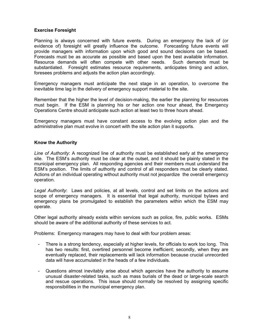#### **Exercise Foresight**

Planning is always concerned with future events. During an emergency the lack of (or evidence of) foresight will greatly influence the outcome. Forecasting future events will provide managers with information upon which good and sound decisions can be based. Forecasts must be as accurate as possible and based upon the best available information. Resource demands will often compete with other needs. Such demands must be substantiated. Foresight estimates resource requirements, anticipates timing and action, foresees problems and adjusts the action plan accordingly.

Emergency managers must anticipate the next stage in an operation, to overcome the inevitable time lag in the delivery of emergency support material to the site.

Remember that the higher the level of decision-making, the earlier the planning for resources must begin. If the ESM is planning his or her action one hour ahead, the Emergency Operations Centre should anticipate such action at least two to three hours ahead.

Emergency managers must have constant access to the evolving action plan and the administrative plan must evolve in concert with the site action plan it supports.

#### **Know the Authority**

*Line of Authority*: A recognized line of authority must be established early at the emergency site. The ESM's authority must be clear at the outset, and it should be plainly stated in the municipal emergency plan. All responding agencies and their members must understand the ESMís position. The limits of authority and control of all responders must be clearly stated. Actions of an individual operating without authority must not jeopardize the overall emergency operation.

*Legal Authority*: Laws and policies, at all levels, control and set limits on the actions and scope of emergency managers. It is essential that legal authority, municipal bylaws and emergency plans be promulgated to establish the parameters within which the ESM may operate.

Other legal authority already exists within services such as police, fire, public works. ESMs should be aware of the additional authority of these services to act.

Problems: Emergency managers may have to deal with four problem areas:

- There is a strong tendency, especially at higher levels, for officials to work too long. This has two results: first, overtired personnel become inefficient; secondly, when they are eventually replaced, their replacements will lack information because crucial unrecorded data will have accumulated in the heads of a few individuals.
- Questions almost inevitably arise about which agencies have the authority to assume unusual disaster-related tasks, such as mass burials of the dead or large-scale search and rescue operations. This issue should normally be resolved by assigning specific responsibilities in the municipal emergency plan.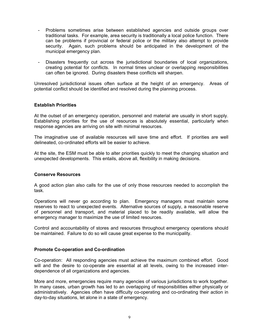- Problems sometimes arise between established agencies and outside groups over traditional tasks. For example, area security is traditionally a local police function. There can be problems if provincial or federal police or the military also attempt to provide security. Again, such problems should be anticipated in the development of the municipal emergency plan.
- Disasters frequently cut across the jurisdictional boundaries of local organizations, creating potential for conflicts. In normal times unclear or overlapping responsibilities can often be ignored. During disasters these conflicts will sharpen.

Unresolved jurisdictional issues often surface at the height of an emergency. Areas of potential conflict should be identified and resolved during the planning process.

#### **Establish Priorities**

At the outset of an emergency operation, personnel and material are usually in short supply. Establishing priorities for the use of resources is absolutely essential, particularly when response agencies are arriving on site with minimal resources.

The imaginative use of available resources will save time and effort. If priorities are well delineated, co-ordinated efforts will be easier to achieve.

At the site, the ESM must be able to alter priorities quickly to meet the changing situation and unexpected developments. This entails, above all, flexibility in making decisions.

#### **Conserve Resources**

A good action plan also calls for the use of only those resources needed to accomplish the task.

Operations will never go according to plan. Emergency managers must maintain some reserves to react to unexpected events. Alternative sources of supply, a reasonable reserve of personnel and transport, and material placed to be readily available, will allow the emergency manager to maximize the use of limited resources.

Control and accountability of stores and resources throughout emergency operations should be maintained. Failure to do so will cause great expense to the municipality.

#### **Promote Co-operation and Co-ordination**

Co-operation: All responding agencies must achieve the maximum combined effort. Good will and the desire to co-operate are essential at all levels, owing to the increased interdependence of all organizations and agencies.

More and more, emergencies require many agencies of various jurisdictions to work together. In many cases, urban growth has led to an overlapping of responsibilities either physically or administratively. Agencies often have difficulty co-operating and co-ordinating their action in day-to-day situations, let alone in a state of emergency.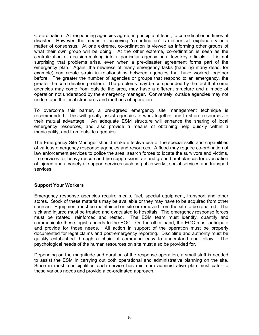Co-ordination: All responding agencies agree, in principle at least, to co-ordination in times of disaster. However, the means of achieving "co-ordination" is neither self-explanatory or a matter of consensus. At one extreme, co-ordination is viewed as informing other groups of what their own group will be doing. At the other extreme, co-ordination is seen as the centralization of decision-making into a particular agency or a few key officials. It is not surprising that problems arise, even when a pre-disaster agreement forms part of the emergency plan. Again, the newness of many emergency tasks (handling many dead, for example) can create strain in relationships between agencies that have worked together before. The greater the number of agencies or groups that respond to an emergency, the greater the co-ordination problem. The problems may be compounded by the fact that some agencies may come from outside the area, may have a different structure and a mode of operation not understood by the emergency manager. Conversely, outside agencies may not understand the local structures and methods of operation.

To overcome this barrier, a pre-agreed emergency site management technique is recommended. This will greatly assist agencies to work together and to share resources to their mutual advantage. An adequate ESM structure will enhance the sharing of local emergency resources, and also provide a means of obtaining help quickly within a municipality, and from outside agencies.

The Emergency Site Manager should make effective use of the special skills and capabilities of various emergency response agencies and resources. A flood may require co-ordination of law enforcement services to police the area, search forces to locate the survivors and victims, fire services for heavy rescue and fire suppression, air and ground ambulances for evacuation of injured and a variety of support services such as public works, social services and transport services.

#### **Support Your Workers**

Emergency response agencies require meals, fuel, special equipment, transport and other stores. Stock of these materials may be available or they may have to be acquired from other sources. Equipment must be maintained on site or removed from the site to be repaired. The sick and injured must be treated and evacuated to hospitals. The emergency response forces must be rotated, reinforced and rested. The ESM team must identify, quantify and communicate these logistic needs to the EOC. On the other hand, the EOC must anticipate and provide for those needs. All action in support of the operation must be properly documented for legal claims and post-emergency reporting. Discipline and authority must be quickly established through a chain of command easy to understand and follow. The psychological needs of the human resources on site must also be provided for.

Depending on the magnitude and duration of the response operation, a small staff is needed to assist the ESM in carrying out both operational and administrative planning on the site. Since in most municipalities each service has minimum administrative plan must cater to these various needs and provide a co-ordinated approach.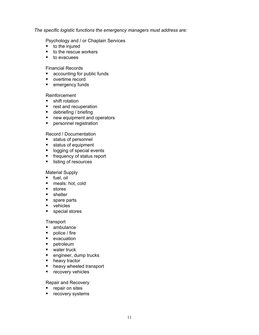*The specific logistic functions the emergency managers must address are:*

Psychology and / or Chaplain Services

- to the injured
- to the rescue workers
- **to evacuees**

Financial Records

- accounting for public funds
- overtime record
- **E** emergency funds

#### Reinforcement

- **shift rotation**
- **EXECUTE:** rest and recuperation
- $\blacksquare$  debriefing / briefing
- **P** new equipment and operators
- **Parager Prepriet personnel registration**

#### Record / Documentation

- ! status of personnel
- ! status of equipment
- logging of special events
- **EXECUTE:** frequency of status report
- listing of resources

#### Material Supply

- ! fuel, oil
- meals: hot, cold
- ! stores
- **E** shelter
- **spare parts**
- vehicles
- **special stores**

#### **Transport**

- **n** ambulance
- $\blacksquare$  police / fire
- ! evacuation
- ! petroleum
- water truck
- **E** engineer, dump trucks
- **EXECUTE:** heavy tractor
- heavy wheeled transport
- **E** recovery vehicles

#### Repair and Recovery

- **P** repair on sites
- **E** recovery systems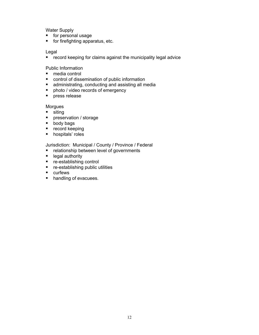Water Supply

- ! for personal usage
- ! for firefighting apparatus, etc.

Legal

**E** record keeping for claims against the municipality legal advice

Public Information

- media control
- control of dissemination of public information
- **E** administrating, conducting and assisting all media
- **•** photo / video records of emergency
- **P** press release

**Morgues** 

- **siting**
- **Parage 12 preservation / storage**
- ! body bags
- record keeping
- **•** hospitals' roles

Jurisdiction: Municipal / County / Province / Federal

- **EXEC** relationship between level of governments
- **E** legal authority
- re-establishing control
- ! re-establishing public utilities
- **E** curfews
- handling of evacuees.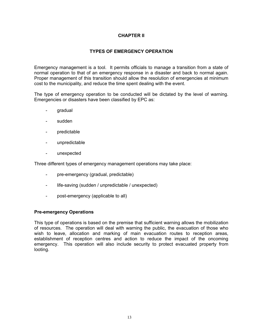#### **CHAPTER II**

#### **TYPES OF EMERGENCY OPERATION**

Emergency management is a tool. It permits officials to manage a transition from a state of normal operation to that of an emergency response in a disaster and back to normal again. Proper management of this transition should allow the resolution of emergencies at minimum cost to the municipality, and reduce the time spent dealing with the event.

The type of emergency operation to be conducted will be dictated by the level of warning. Emergencies or disasters have been classified by EPC as:

- gradual
- sudden
- predictable
- unpredictable
- unexpected

Three different types of emergency management operations may take place:

- pre-emergency (gradual, predictable)
- life-saving (sudden / unpredictable / unexpected)
- post-emergency (applicable to all)

#### **Pre-emergency Operations**

This type of operations is based on the premise that sufficient warning allows the mobilization of resources. The operation will deal with warning the public, the evacuation of those who wish to leave, allocation and marking of main evacuation routes to reception areas, establishment of reception centres and action to reduce the impact of the oncoming emergency. This operation will also include security to protect evacuated property from looting.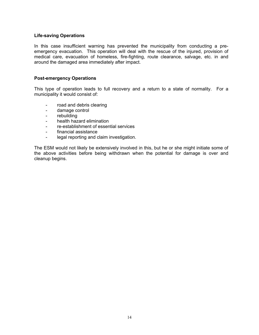#### **Life-saving Operations**

In this case insufficient warning has prevented the municipality from conducting a preemergency evacuation. This operation will deal with the rescue of the injured, provision of medical care, evacuation of homeless, fire-fighting, route clearance, salvage, etc. in and around the damaged area immediately after impact.

#### **Post-emergency Operations**

This type of operation leads to full recovery and a return to a state of normality. For a municipality it would consist of:

- road and debris clearing
- damage control
- rebuilding
- health hazard elimination
- re-establishment of essential services
- financial assistance
- legal reporting and claim investigation.

The ESM would not likely be extensively involved in this, but he or she might initiate some of the above activities before being withdrawn when the potential for damage is over and cleanup begins.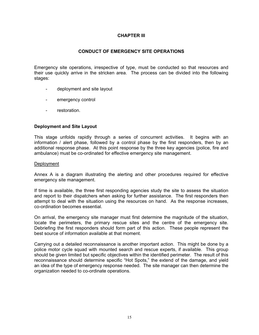#### **CHAPTER III**

#### **CONDUCT OF EMERGENCY SITE OPERATIONS**

Emergency site operations, irrespective of type, must be conducted so that resources and their use quickly arrive in the stricken area. The process can be divided into the following stages:

- deployment and site layout
- emergency control
- restoration.

#### **Deployment and Site Layout**

This stage unfolds rapidly through a series of concurrent activities. It begins with an information / alert phase, followed by a control phase by the first responders, then by an additional response phase. At this point response by the three key agencies (police, fire and ambulance) must be co-ordinated for effective emergency site management.

#### Deployment

Annex A is a diagram illustrating the alerting and other procedures required for effective emergency site management.

If time is available, the three first responding agencies study the site to assess the situation and report to their dispatchers when asking for further assistance. The first responders then attempt to deal with the situation using the resources on hand. As the response increases, co-ordination becomes essential.

On arrival, the emergency site manager must first determine the magnitude of the situation, locate the perimeters, the primary rescue sites and the centre of the emergency site. Debriefing the first responders should form part of this action. These people represent the best source of information available at that moment.

Carrying out a detailed reconnaissance is another important action. This might be done by a police motor cycle squad with mounted search and rescue experts, if available. This group should be given limited but specific objectives within the identified perimeter. The result of this reconnaissance should determine specific "Hot Spots," the extend of the damage, and yield an idea of the type of emergency response needed. The site manager can then determine the organization needed to co-ordinate operations.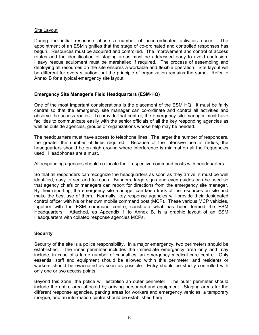#### Site Layout

During the initial response phase a number of unco-ordinated activities occur. The appointment of an ESM signifies that the stage of co-ordinated and controlled responses has begun. Resources must be acquired and controlled. The improvement and control of access routes and the identification of staging areas must be addressed early to avoid confusion. Heavy rescue equipment must be marshalled if required. The process of assembling and deploying all resources on the site ensures a workable and flexible operation. Site layout will be different for every situation, but the principle of organization remains the same. Refer to Annex B for a typical emergency site layout.

#### Emergency Site Manager's Field Headquarters (ESM-HQ)

One of the most important considerations is the placement of the ESM HQ. It must be fairly central so that the emergency site manager can co-ordinate and control all activities and observe the access routes. To provide that control, the emergency site manager must have facilities to communicate easily with the senior officials of all the key responding agencies as well as outside agencies, groups or organizations whose help may be needed.

The headquarters must have access to telephone lines. The larger the number of responders, the greater the number of lines required. Because of the intensive use of radios, the headquarters should be on high ground where interference is minimal on all the frequencies used. Headphones are a must.

All responding agencies should co-locate their respective command posts with headquarters.

So that all responders can recognize the headquarters as soon as they arrive, it must be well identified, easy to see and to reach. Banners, large signs and even guides can be used so that agency chiefs or managers can report for directions from the emergency site manager. By their reporting, the emergency site manager can keep track of the resources on site and make the best use of them. Normally, key response agencies will provide their designated control officer with his or her own mobile command post (MCP). These various MCP vehicles, together with the ESM command centre, constitute what has been termed the ESM Headquarters. Attached, as Appendix 1 to Annex B, is a graphic layout of an ESM Headquarters with collated response agencies MCPs.

#### **Security**

Security of the site is a police responsibility. In a major emergency, two perimeters should be established. The inner perimeter includes the immediate emergency area only and may include, in case of a large number of casualties, an emergency medical care centre. Only essential staff and equipment should be allowed within this perimeter, and residents or workers should be evacuated as soon as possible. Entry should be strictly controlled with only one or two access points.

Beyond this zone, the police will establish an outer perimeter. The outer perimeter should include the entire area affected by arriving personnel and equipment. Staging areas for the different response agencies, parking areas for workers and emergency vehicles, a temporary morgue, and an information centre should be established here.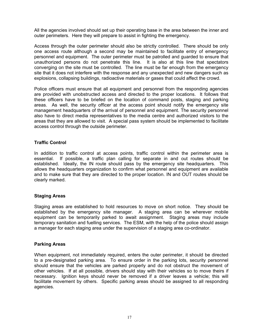All the agencies involved should set up their operating base in the area between the inner and outer perimeters. Here they will prepare to assist in fighting the emergency.

Access through the outer perimeter should also be strictly controlled. There should be only one access route although a second may be maintained to facilitate entry of emergency personnel and equipment. The outer perimeter must be patrolled and guarded to ensure that unauthorized persons do not penetrate this line. It is also at this line that spectators converging on the site must be controlled. The line must be far enough from the emergency site that it does not interfere with the response and any unexpected and new dangers such as explosions, collapsing buildings, radioactive materials or gases that could affect the crowd.

Police officers must ensure that all equipment and personnel from the responding agencies are provided with unobstructed access and directed to the proper locations. It follows that these officers have to be briefed on the location of command posts, staging and parking areas. As well, the security officer at the access point should notify the emergency site management headquarters of the arrival of personnel and equipment. The security personnel also have to direct media representatives to the media centre and authorized visitors to the areas that they are allowed to visit. A special pass system should be implemented to facilitate access control through the outside perimeter.

#### **Traffic Control**

In addition to traffic control at access points, traffic control within the perimeter area is essential. If possible, a traffic plan calling for separate in and out routes should be established. Ideally, the IN route should pass by the emergency site headquarters. This allows the headquarters organization to confirm what personnel and equipment are available and to make sure that they are directed to the proper location. IN and OUT routes should be clearly marked.

#### **Staging Areas**

Staging areas are established to hold resources to move on short notice. They should be established by the emergency site manager. A staging area can be wherever mobile equipment can be temporarily parked to await assignment. Staging areas may include temporary sanitation and fuelling services. The ESM, with the help of the police should assign a manager for each staging area under the supervision of a staging area co-ordinator.

#### **Parking Areas**

When equipment, not immediately required, enters the outer perimeter, it should be directed to a pre-designated parking area. To ensure order in the parking lots, security personnel should ensure that the vehicles are parked properly and do not obstruct the movement of other vehicles. If at all possible, drivers should stay with their vehicles so to move theirs if necessary. Ignition keys should never be removed if a driver leaves a vehicle; this will facilitate movement by others. Specific parking areas should be assigned to all responding agencies.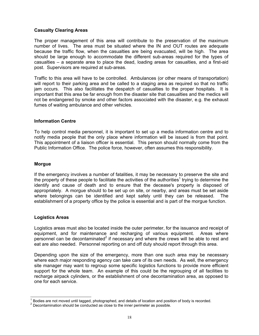#### **Casualty Clearing Areas**

The proper management of this area will contribute to the preservation of the maximum number of lives. The area must be situated where the IN and OUT routes are adequate because the traffic flow, when the casualties are being evacuated, will be high. The area should be large enough to accommodate the different sub-areas required for the types of casualties – a separate area to place the dead, loading areas for casualties, and a first-aid post. Supervisors are required at sub-areas.

Traffic to this area will have to be controlled. Ambulances (or other means of transportation) will report to their parking area and be called to a staging area as required so that no traffic jam occurs. This also facilitates the despatch of casualties to the proper hospitals. It is important that this area be far enough from the disaster site that casualties and the medics will not be endangered by smoke and other factors associated with the disaster, e.g. the exhaust fumes of waiting ambulance and other vehicles.

#### **Information Centre**

To help control media personnel, it is important to set up a media information centre and to notify media people that the only place where information will be issued is from that point. This appointment of a liaison officer is essential. This person should normally come from the Public Information Office. The police force, however, often assumes this responsibility.

#### **Morgue**

If the emergency involves a number of fatalities, it may be necessary to preserve the site and the property of these people to facilitate the activities of the authorities<sup>1</sup> trying to determine the identify and cause of death and to ensure that the decease's property is disposed of appropriately. A morgue should to be set up on site, or nearby, and areas must be set aside where belongings can be identified and kept safely until they can be released. The establishment of a property office by the police is essential and is part of the morgue function.

#### **Logistics Areas**

Logistics areas must also be located inside the outer perimeter, for the issuance and receipt of equipment, and for maintenance and recharging of various equipment. Areas where personnel can be decontaminated<sup>[2](#page-17-1)</sup> if necessary and where the crews will be able to rest and eat are also needed. Personnel reporting on and off duty should report through this area.

Depending upon the size of the emergency, more than one such area may be necessary where each major responding agency can take care of its own needs. As well, the emergency site manager may want to regroup some specific logistics functions to provide more efficient support for the whole team. An example of this could be the regrouping of all facilities to recharge airpack cylinders, or the establishment of one decontamination area, as opposed to one for each service.

<sup>|&</sup>lt;br>1  $^1$  Bodies are not moved until tagged, photographed, and details of location and position of body is recorded.<br>2 Decentemination abould be conducted as close to the inner perimeter as pescible.

<span id="page-17-1"></span><span id="page-17-0"></span>Decontamination should be conducted as close to the inner perimeter as possible.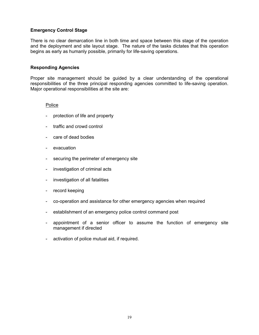#### **Emergency Control Stage**

There is no clear demarcation line in both time and space between this stage of the operation and the deployment and site layout stage. The nature of the tasks dictates that this operation begins as early as humanly possible, primarily for life-saving operations.

#### **Responding Agencies**

Proper site management should be guided by a clear understanding of the operational responsibilities of the three principal responding agencies committed to life-saving operation. Major operational responsibilities at the site are:

#### Police

- protection of life and property
- traffic and crowd control
- care of dead bodies
- evacuation
- securing the perimeter of emergency site
- investigation of criminal acts
- investigation of all fatalities
- record keeping
- co-operation and assistance for other emergency agencies when required
- establishment of an emergency police control command post
- appointment of a senior officer to assume the function of emergency site management if directed
- activation of police mutual aid, if required.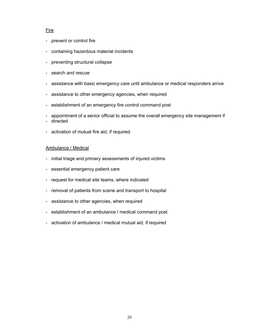#### **Fire**

- prevent or control fire
- containing hazardous material incidents
- preventing structural collapse
- search and rescue
- assistance with basic emergency care until ambulance or medical responders arrive
- assistance to other emergency agencies, when required
- establishment of an emergency fire control command post
- appointment of a senior official to assume the overall emergency site management if
- directed
- activation of mutual fire aid, if required.

#### Ambulance / Medical

- initial triage and primary assessments of injured victims
- essential emergency patient care
- request for medical site teams, where indicated
- removal of patients from scene and transport to hospital
- assistance to other agencies, when required
- establishment of an ambulance / medical command post
- activation of ambulance / medical mutual aid, if required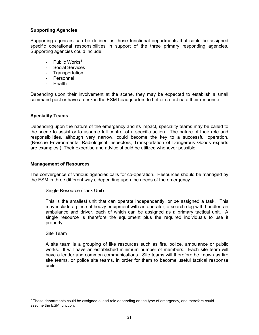#### **Supporting Agencies**

Supporting agencies can be defined as those functional departments that could be assigned specific operational responsibilities in support of the three primary responding agencies. Supporting agencies could include:

- Public Works $3$
- Social Services
- Transportation
- Personnel
- Health

Depending upon their involvement at the scene, they may be expected to establish a small command post or have a desk in the ESM headquarters to better co-ordinate their response.

#### **Speciality Teams**

Depending upon the nature of the emergency and its impact, speciality teams may be called to the scene to assist or to assume full control of a specific action. The nature of their role and responsibilities, although very narrow, could become the key to a successful operation. (Rescue Environmental Radiological Inspectors, Transportation of Dangerous Goods experts are examples.) Their expertise and advice should be utilized whenever possible.

#### **Management of Resources**

The convergence of various agencies calls for co-operation. Resources should be managed by the ESM in three different ways, depending upon the needs of the emergency.

#### Single Resource (Task Unit)

This is the smallest unit that can operate independently, or be assigned a task. This may include a piece of heavy equipment with an operator, a search dog with handler, an ambulance and driver, each of which can be assigned as a primary tactical unit. A single resource is therefore the equipment plus the required individuals to use it properly.

#### Site Team

A site team is a grouping of like resources such as fire, police, ambulance or public works. It will have an established minimum number of members. Each site team will have a leader and common communications. Site teams will therefore be known as fire site teams, or police site teams, in order for them to become useful tactical response units.

<span id="page-20-0"></span> $3$  These departments could be assigned a lead role depending on the type of emergency, and therefore could assume the ESM function.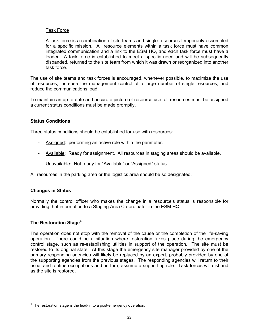#### Task Force

A task force is a combination of site teams and single resources temporarily assembled for a specific mission. All resource elements within a task force must have common integrated communication and a link to the ESM HQ, and each task force must have a leader. A task force is established to meet a specific need and will be subsequently disbanded, returned to the site team from which it was drawn or reorganized into another task force.

The use of site teams and task forces is encouraged, whenever possible, to maximize the use of resources, increase the management control of a large number of single resources, and reduce the communications load.

To maintain an up-to-date and accurate picture of resource use, all resources must be assigned a current status conditions must be made promptly.

#### **Status Conditions**

Three status conditions should be established for use with resources:

- Assigned: performing an active role within the perimeter.
- Available: Ready for assignment. All resources in staging areas should be available.
- Unavailable: Not ready for "Available" or "Assigned" status.

All resources in the parking area or the logistics area should be so designated.

#### **Changes in Status**

Normally the control officer who makes the change in a resource's status is responsible for providing that information to a Staging Area Co-ordinator in the ESM HQ.

#### **The Restoration Stage[4](#page-21-0)**

The operation does not stop with the removal of the cause or the completion of the life-saving operation. There could be a situation where restoration takes place during the emergency control stage, such as re-establishing utilities in support of the operation. The site must be restored to its original state. At this stage the emergency site manager provided by one of the primary responding agencies will likely be replaced by an expert, probably provided by one of the supporting agencies from the previous stages. The responding agencies will return to their usual and routine occupations and, in turn, assume a supporting role. Task forces will disband as the site is restored.

<span id="page-21-0"></span><sup>4</sup> The restoration stage is the lead-in to a post-emergency operation.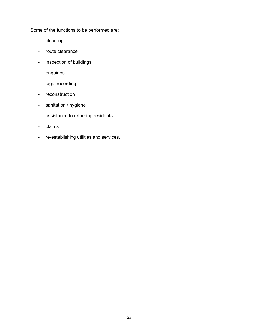Some of the functions to be performed are:

- clean-up
- route clearance
- inspection of buildings
- enquiries
- legal recording
- reconstruction
- sanitation / hygiene
- assistance to returning residents
- claims
- re-establishing utilities and services.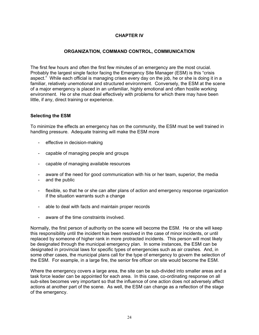## **CHAPTER IV**

#### **ORGANIZATION, COMMAND CONTROL, COMMUNICATION**

The first few hours and often the first few minutes of an emergency are the most crucial. Probably the largest single factor facing the Emergency Site Manager (ESM) is this "crisis" aspect." While each official is managing crises every day on the job, he or she is doing it in a familiar, relatively unemotional and structured environment. Conversely, the ESM at the scene of a major emergency is placed in an unfamiliar, highly emotional and often hostile working environment. He or she must deal effectively with problems for which there may have been little, if any, direct training or experience.

#### **Selecting the ESM**

To minimize the effects an emergency has on the community, the ESM must be well trained in handling pressure. Adequate training will make the ESM more

- effective in decision-making
- capable of managing people and groups
- capable of managing available resources
- aware of the need for good communication with his or her team, superior, the media
- and the public
- flexible, so that he or she can alter plans of action and emergency response organization if the situation warrants such a change
- able to deal with facts and maintain proper records
- aware of the time constraints involved

Normally, the first person of authority on the scene will become the ESM. He or she will keep this responsibility until the incident has been resolved in the case of minor incidents, or until replaced by someone of higher rank in more protracted incidents. This person will most likely be designated through the municipal emergency plan. In some instances, the ESM can be designated in provincial laws for specific types of emergencies such as air crashes. And, in some other cases, the municipal plans call for the type of emergency to govern the selection of the ESM. For example, in a large fire, the senior fire officer on site would become the ESM.

Where the emergency covers a large area, the site can be sub-divided into smaller areas and a task force leader can be appointed for each area. In this case, co-ordinating response on all sub-sites becomes very important so that the influence of one action does not adversely affect actions at another part of the scene. As well, the ESM can change as a reflection of the stage of the emergency.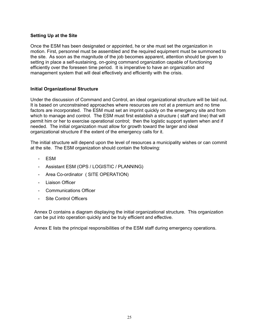#### **Setting Up at the Site**

Once the ESM has been designated or appointed, he or she must set the organization in motion. First, personnel must be assembled and the required equipment must be summoned to the site. As soon as the magnitude of the job becomes apparent, attention should be given to setting in place a self-sustaining, on-going command organization capable of functioning efficiently over the foreseen time period. It is imperative to have an organization and management system that will deal effectively and efficiently with the crisis.

#### **Initial Organizational Structure**

Under the discussion of Command and Control, an ideal organizational structure will be laid out. It is based on unconstrained approaches where resources are not at a premium and no time factors are incorporated. The ESM must set an imprint quickly on the emergency site and from which to manage and control. The ESM must first establish a structure ( staff and line) that will permit him or her to exercise operational control; then the logistic support system when and if needed. The initial organization must allow for growth toward the larger and ideal organizational structure if the extent of the emergency calls for it.

The initial structure will depend upon the level of resources a municipality wishes or can commit at the site. The ESM organization should contain the following:

- ESM
- Assistant ESM (OPS / LOGISTIC / PLANNING)
- Area Co-ordinator ( SITE OPERATION)
- Liaison Officer
- Communications Officer
- Site Control Officers

Annex D contains a diagram displaying the initial organizational structure. This organization can be put into operation quickly and be truly efficient and effective.

Annex E lists the principal responsibilities of the ESM staff during emergency operations.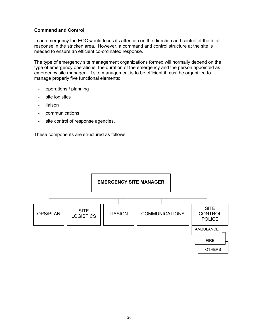#### **Command and Control**

In an emergency the EOC would focus its attention on the direction and control of the total response in the stricken area. However, a command and control structure at the site is needed to ensure an efficient co-ordinated response.

The type of emergency site management organizations formed will normally depend on the type of emergency operations, the duration of the emergency and the person appointed as emergency site manager. If site management is to be efficient it must be organized to manage properly five functional elements:

- operations / planning
- site logistics
- liaison
- communications
- site control of response agencies.

These components are structured as follows:

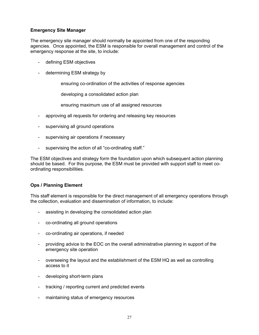#### **Emergency Site Manager**

The emergency site manager should normally be appointed from one of the responding agencies. Once appointed, the ESM is responsible for overall management and control of the emergency response at the site, to include:

- defining ESM objectives
- determining ESM strategy by

ensuring co-ordination of the activities of response agencies

developing a consolidated action plan

ensuring maximum use of all assigned resources

- approving all requests for ordering and releasing key resources
- supervising all ground operations
- supervising air operations if necessary
- supervising the action of all "co-ordinating staff."

The ESM objectives and strategy form the foundation upon which subsequent action planning should be based. For this purpose, the ESM must be provided with support staff to meet coordinating responsibilities.

#### **Ops / Planning Element**

This staff element is responsible for the direct management of all emergency operations through the collection, evaluation and dissemination of information, to include:

- assisting in developing the consolidated action plan
- co-ordinating all ground operations
- co-ordinating air operations, if needed
- providing advice to the EOC on the overall administrative planning in support of the emergency site operation
- overseeing the layout and the establishment of the ESM HQ as well as controlling access to it
- developing short-term plans
- tracking / reporting current and predicted events
- maintaining status of emergency resources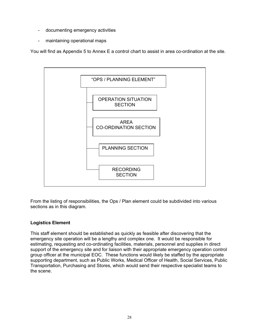- documenting emergency activities
- maintaining operational maps

You will find as Appendix 5 to Annex E a control chart to assist in area co-ordination at the site.



From the listing of responsibilities, the Ops / Plan element could be subdivided into various sections as in this diagram.

## **Logistics Element**

This staff element should be established as quickly as feasible after discovering that the emergency site operation will be a lengthy and complex one. It would be responsible for estimating, requesting and co-ordinating facilities, materials, personnel and supplies in direct support of the emergency site and for liaison with their appropriate emergency operation control group officer at the municipal EOC. These functions would likely be staffed by the appropriate supporting department, such as Public Works, Medical Officer of Health, Social Services, Public Transportation, Purchasing and Stores, which would send their respective specialist teams to the scene.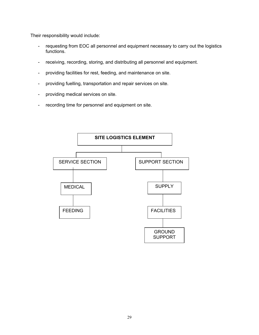Their responsibility would include:

- requesting from EOC all personnel and equipment necessary to carry out the logistics functions.
- receiving, recording, storing, and distributing all personnel and equipment.
- providing facilities for rest, feeding, and maintenance on site.
- providing fuelling, transportation and repair services on site.
- providing medical services on site.
- recording time for personnel and equipment on site.

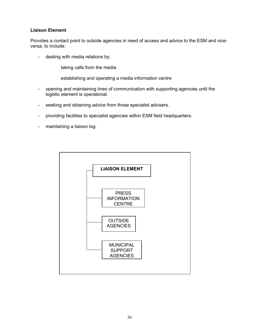#### **Liaison Element**

Provides a contact point to outside agencies in need of access and advice to the ESM and viceversa, to include:

- dealing with media relations by:

taking calls from the media

establishing and operating a media information centre

- opening and maintaining lines of communication with supporting agencies until the logistic element is operational.
- seeking and obtaining advice from those specialist advisers.
- providing facilities to specialist agencies within ESM field headquarters.
- maintaining a liaison log.

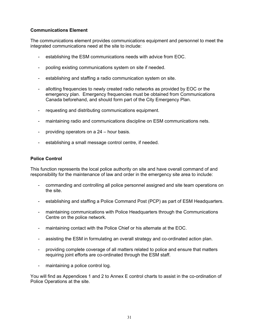#### **Communications Element**

The communications element provides communications equipment and personnel to meet the integrated communications need at the site to include:

- establishing the ESM communications needs with advice from EOC.
- pooling existing communications system on site if needed.
- establishing and staffing a radio communication system on site.
- allotting frequencies to newly created radio networks as provided by EOC or the emergency plan. Emergency frequencies must be obtained from Communications Canada beforehand, and should form part of the City Emergency Plan.
- requesting and distributing communications equipment.
- maintaining radio and communications discipline on ESM communications nets.
- providing operators on a  $24 -$  hour basis.
- establishing a small message control centre, if needed.

#### **Police Control**

This function represents the local police authority on site and have overall command of and responsibility for the maintenance of law and order in the emergency site area to include:

- commanding and controlling all police personnel assigned and site team operations on the site.
- establishing and staffing a Police Command Post (PCP) as part of ESM Headquarters.
- maintaining communications with Police Headquarters through the Communications Centre on the police network.
- maintaining contact with the Police Chief or his alternate at the EOC.
- assisting the ESM in formulating an overall strategy and co-ordinated action plan.
- providing complete coverage of all matters related to police and ensure that matters requiring joint efforts are co-ordinated through the ESM staff.
- maintaining a police control log.

You will find as Appendices 1 and 2 to Annex E control charts to assist in the co-ordination of Police Operations at the site.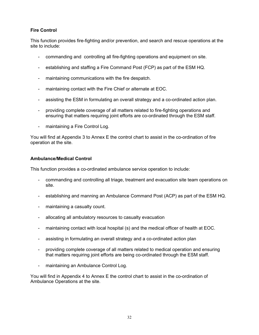# **Fire Control**

This function provides fire-fighting and/or prevention, and search and rescue operations at the site to include:

- commanding and controlling all fire-fighting operations and equipment on site.
- establishing and staffing a Fire Command Post (FCP) as part of the ESM HQ.
- maintaining communications with the fire despatch.
- maintaining contact with the Fire Chief or alternate at EOC.
- assisting the ESM in formulating an overall strategy and a co-ordinated action plan.
- providing complete coverage of all matters related to fire-fighting operations and ensuring that matters requiring joint efforts are co-ordinated through the ESM staff.
- maintaining a Fire Control Log.

You will find at Appendix 3 to Annex E the control chart to assist in the co-ordination of fire operation at the site.

#### **Ambulance/Medical Control**

This function provides a co-ordinated ambulance service operation to include:

- commanding and controlling all triage, treatment and evacuation site team operations on site.
- establishing and manning an Ambulance Command Post (ACP) as part of the ESM HQ.
- maintaining a casualty count.
- allocating all ambulatory resources to casualty evacuation
- maintaining contact with local hospital (s) and the medical officer of health at EOC.
- assisting in formulating an overall strategy and a co-ordinated action plan
- providing complete coverage of all matters related to medical operation and ensuring that matters requiring joint efforts are being co-ordinated through the ESM staff.
- maintaining an Ambulance Control Log.

You will find in Appendix 4 to Annex E the control chart to assist in the co-ordination of Ambulance Operations at the site.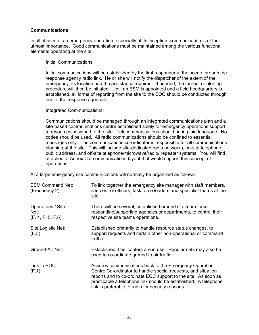#### **Communications**

In all phases of an emergency operation, especially at its inception, communication is of the utmost importance. Good communications must be maintained among the various functional elements operating at the site.

Initial Communications:

Initial communications will be established by the first responder at the scene through the response agency radio link. He or she will notify the dispatcher of the extent of the emergency, its location and the assistance required. If needed, the fan-out or alerting procedure will then be initiated. Until an ESM is appointed and a field headquarters is established, all forms of reporting from the site to the EOC should be conducted through one of the response agencies.

Integrated Communications:

Communications should be managed through an integrated communications plan and a site-based communications centre established solely for emergency operations support to resources assigned to the site. Telecommunications should be in plain language. No codes should be used. All radio communications should be confined to essential messages only. The communications co-ordinator is responsible for all communications planning at the site. This will include site-dedicated radio networks, on-site telephone, public address, and off-site telephone/microwave/radio/ repeater systems. You will find attached at Annex C a communications layout that would support this concept of operations.

At a large emergency site communications will normally be organized as follows:

| <b>ESM Command Net:</b><br>(Frequency 2)       | To link together the emergency site manager with staff members,<br>site control officers, task force leaders and specialist teams at the<br>site.                                                                                                                                                                 |
|------------------------------------------------|-------------------------------------------------------------------------------------------------------------------------------------------------------------------------------------------------------------------------------------------------------------------------------------------------------------------|
| Operations / Site<br>Net:<br>(F. 4, F. 5, F.6) | There will be several, established around site team force<br>responding/supporting agencies or departments, to control their<br>respective site teams operations.                                                                                                                                                 |
| Site Logistic Net:<br>(F.3)                    | Established primarily to handle resource status changes, to<br>support requests and certain other non-operational or command<br>traffic.                                                                                                                                                                          |
| Ground-Air Net:                                | Established if helicopters are in use. Regular nets may also be<br>used to co-ordinate ground to air traffic.                                                                                                                                                                                                     |
| Link to EOC:<br>(F.1)                          | Assures communications back to the Emergency Operation<br>Centre Co-ordinator to handle special requests, and situation<br>reports and to co-ordinate EOC support to the site. As soon as<br>practicable a telephone link should be established. A telephone<br>link is preferable to radio for security reasons. |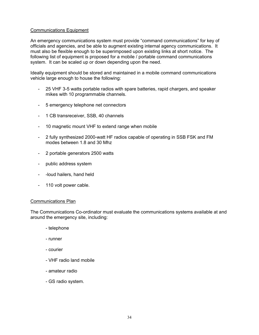#### Communications Equipment

An emergency communications system must provide "command communications" for key of officials and agencies, and be able to augment existing internal agency communications. It must also be flexible enough to be superimposed upon existing links at short notice. The following list of equipment is proposed for a mobile / portable command communications system. It can be scaled up or down depending upon the need.

Ideally equipment should be stored and maintained in a mobile command communications vehicle large enough to house the following:

- 25 VHF 3-5 watts portable radios with spare batteries, rapid chargers, and speaker mikes with 10 programmable channels.
- 5 emergency telephone net connectors
- 1 CB transreceiver, SSB, 40 channels
- 10 magnetic mount VHF to extend range when mobile
- 2 fully synthesized 2000-watt HF radios capable of operating in SSB FSK and FM modes between 1.8 and 30 Mhz
- 2 portable generators 2500 watts
- public address system
- -loud hailers, hand held
- 110 volt power cable.

#### Communications Plan

The Communications Co-ordinator must evaluate the communications systems available at and around the emergency site, including:

- telephone
- runner
- courier
- VHF radio land mobile
- amateur radio
- GS radio system.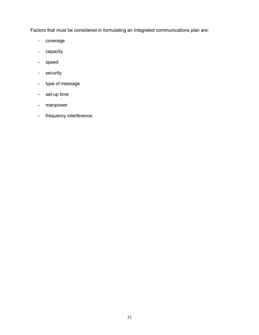Factors that must be considered in formulating an integrated communications plan are:

- coverage
- capacity
- speed
- security
- type of message
- set-up time
- manpower
- frequency interference.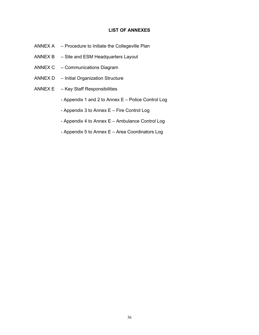#### **LIST OF ANNEXES**

- ANNEX  $A$   $-$  Procedure to Initiate the Collegeville Plan
- $ANNEX B Site$  and ESM Headquarters Layout
- ANNEX C Communications Diagram
- $ANNEX D Initial Organization Structure$
- ANNEX  $E Key$  Staff Responsibilities
	- Appendix 1 and 2 to Annex  $E -$  Police Control Log
	- Appendix 3 to Annex  $E$  Fire Control Log
	- Appendix 4 to Annex  $E -$  Ambulance Control Log
	- Appendix 5 to Annex  $E -$  Area Coordinators Log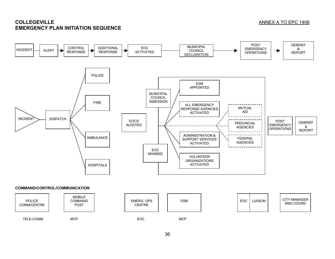# **COLLEGEVILLEEMERGENCY PLAN INITIATION SEQUENCE**

#### ANNEX A TO EPC 1406

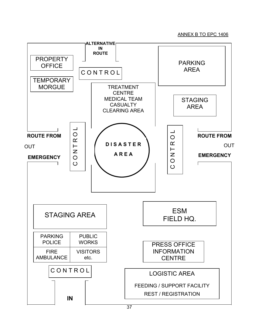#### ANNEX B TO EPC 1406

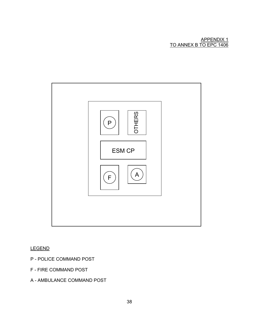#### APPENDIX 1 TO ANNEX B TO EPC 1406



### LEGEND

- P POLICE COMMAND POST
- F FIRE COMMAND POST
- A AMBULANCE COMMAND POST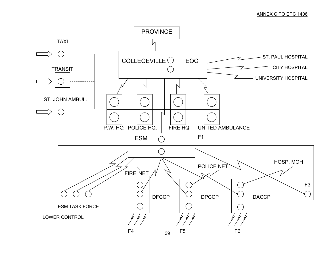#### ANNEX C TO EPC 1406

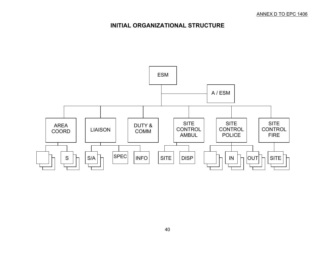# **INITIAL ORGANIZATIONAL STRUCTURE**

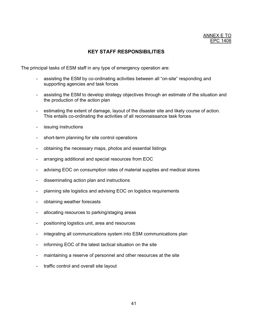## **KEY STAFF RESPONSIBILITIES**

The principal tasks of ESM staff in any type of emergency operation are:

- assisting the ESM by co-ordinating activities between all "on-site" responding and supporting agencies and task forces
- assisting the ESM to develop strategy objectives through an estimate of the situation and the production of the action plan
- estimating the extent of damage, layout of the disaster site and likely course of action. This entails co-ordinating the activities of all reconnaissance task forces
- issuing instructions
- short-term planning for site control operations
- obtaining the necessary maps, photos and essential listings
- arranging additional and special resources from EOC
- advising EOC on consumption rates of material supplies and medical stores
- disseminating action plan and instructions
- planning site logistics and advising EOC on logistics requirements
- obtaining weather forecasts
- allocating resources to parking/staging areas
- positioning logistics unit, area and resources
- integrating all communications system into ESM communications plan
- informing EOC of the latest tactical situation on the site
- maintaining a reserve of personnel and other resources at the site
- traffic control and overall site layout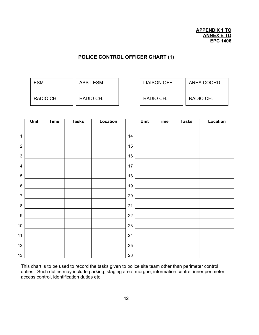# **POLICE CONTROL OFFICER CHART (1)**

| <b>ESM</b> | ASST-ESM  | <b>LIAISON OFF</b> | AREA COORD |
|------------|-----------|--------------------|------------|
| RADIO CH.  | RADIO CH. | RADIO CH.          | RADIO CH.  |

|                           | Unit | <b>Time</b> | <b>Tasks</b> | Location |        | Unit | <b>Time</b> | <b>Tasks</b> | Location |
|---------------------------|------|-------------|--------------|----------|--------|------|-------------|--------------|----------|
| $\mathbf{1}$              |      |             |              |          | 14     |      |             |              |          |
| $\boldsymbol{2}$          |      |             |              |          | $15\,$ |      |             |              |          |
| $\ensuremath{\mathsf{3}}$ |      |             |              |          | $16\,$ |      |             |              |          |
| $\overline{\mathbf{4}}$   |      |             |              |          | 17     |      |             |              |          |
| $\sqrt{5}$                |      |             |              |          | $18\,$ |      |             |              |          |
| $\,6$                     |      |             |              |          | $19$   |      |             |              |          |
| $\overline{7}$            |      |             |              |          | 20     |      |             |              |          |
| $\bf 8$                   |      |             |              |          | 21     |      |             |              |          |
| $\boldsymbol{9}$          |      |             |              |          | 22     |      |             |              |          |
| 10 <sub>1</sub>           |      |             |              |          | 23     |      |             |              |          |
| 11                        |      |             |              |          | 24     |      |             |              |          |
| 12                        |      |             |              |          | 25     |      |             |              |          |
| 13                        |      |             |              |          | $26\,$ |      |             |              |          |

This chart is to be used to record the tasks given to police site team other than perimeter control duties. Such duties may include parking, staging area, morgue, information centre, inner perimeter access control, identification duties etc.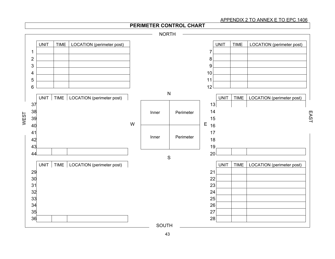#### APPENDIX 2 TO ANNEX E TO EPC 1406

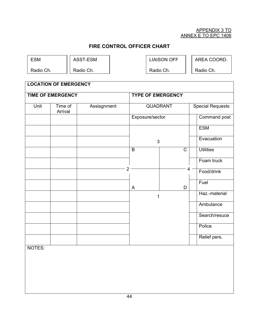#### APPENDIX 3 TO ANNEX E TO EPC 1406

# **FIRE CONTROL OFFICER CHART**

| ٧ |
|---|
|---|

ASST-ESM

Radio Ch.

Radio Ch.

LIAISON OFF

Radio Ch.

AREA COORD.

Radio Ch.

| <b>LOCATION OF EMERGENCY</b> |                          |             |                          |                         |                  |  |  |  |  |  |  |  |
|------------------------------|--------------------------|-------------|--------------------------|-------------------------|------------------|--|--|--|--|--|--|--|
|                              | <b>TIME OF EMERGENCY</b> |             | <b>TYPE OF EMERGENCY</b> |                         |                  |  |  |  |  |  |  |  |
| Unit                         | Time of<br>Arrival       | Assisgnment | <b>QUADRANT</b>          | <b>Special Requests</b> |                  |  |  |  |  |  |  |  |
|                              |                          |             |                          | Exposure/sector         |                  |  |  |  |  |  |  |  |
|                              |                          |             |                          |                         | <b>ESM</b>       |  |  |  |  |  |  |  |
|                              |                          |             | 3                        |                         | Evacuation       |  |  |  |  |  |  |  |
|                              |                          |             | B                        | $\overline{C}$          | <b>Utilities</b> |  |  |  |  |  |  |  |
|                              |                          |             | $\overline{2}$           | 4                       | Foam truck       |  |  |  |  |  |  |  |
|                              |                          |             |                          |                         | Food/drink       |  |  |  |  |  |  |  |
|                              |                          |             | $\mathsf{A}$             | D                       | Fuel             |  |  |  |  |  |  |  |
|                              |                          |             | 1                        |                         | Haz.-material    |  |  |  |  |  |  |  |
|                              |                          |             |                          |                         | Ambulance        |  |  |  |  |  |  |  |
|                              |                          |             |                          |                         | Search/resuce    |  |  |  |  |  |  |  |
|                              |                          |             |                          |                         | Police           |  |  |  |  |  |  |  |
|                              |                          |             |                          |                         | Relief pers.     |  |  |  |  |  |  |  |
| NOTES:                       |                          |             |                          |                         |                  |  |  |  |  |  |  |  |
|                              |                          |             |                          |                         |                  |  |  |  |  |  |  |  |
|                              |                          |             |                          |                         |                  |  |  |  |  |  |  |  |
|                              |                          |             |                          |                         |                  |  |  |  |  |  |  |  |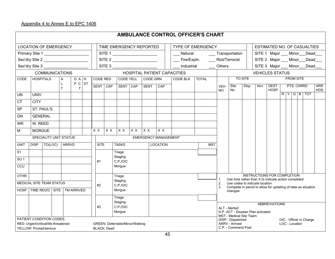# Appendix 4 to Annex E to EPC 1406

| <b>AMBULANCE CONTROL OFFICER'S CHART</b>                |                                                                                                                         |         |                       |              |                |  |                             |                                 |                     |                          |                                              |     |             |                |                                    |                                                                                |                         |                                                                                           |                               |  |  |            |                         |                          |  |
|---------------------------------------------------------|-------------------------------------------------------------------------------------------------------------------------|---------|-----------------------|--------------|----------------|--|-----------------------------|---------------------------------|---------------------|--------------------------|----------------------------------------------|-----|-------------|----------------|------------------------------------|--------------------------------------------------------------------------------|-------------------------|-------------------------------------------------------------------------------------------|-------------------------------|--|--|------------|-------------------------|--------------------------|--|
| <b>LOCATION OF EMERGENCY</b><br>TIME EMERGENCY REPORTED |                                                                                                                         |         |                       |              |                |  |                             |                                 |                     | <b>TYPE OF EMERGENCY</b> |                                              |     |             |                |                                    | ESTIMATED NO. OF CASUALTIES                                                    |                         |                                                                                           |                               |  |  |            |                         |                          |  |
| Primary Site 1<br>SITE 1                                |                                                                                                                         |         |                       |              |                |  |                             |                                 |                     |                          | Natural                                      |     |             | Transportation |                                    |                                                                                | SITE 1 Major Minor Dead |                                                                                           |                               |  |  |            |                         |                          |  |
|                                                         | Sec'dry Site 2                                                                                                          |         |                       |              |                |  |                             |                                 |                     |                          | SITE 2                                       |     | Fire/Expln. |                |                                    | __ Riot/Terrorist                                                              |                         |                                                                                           | SITE 2 Major __ Minor __ Dead |  |  |            |                         |                          |  |
|                                                         | Sec'dry Site 3                                                                                                          |         |                       |              |                |  |                             |                                 |                     |                          | SITE 3                                       |     | Industrial  |                | $\_\_$ Others                      |                                                                                |                         |                                                                                           | SITE 3 Major __ Minor __ Dead |  |  |            |                         |                          |  |
|                                                         |                                                                                                                         |         | <b>COMMUNICATIONS</b> |              |                |  | HOSPITAL PATIENT CAPACITIES |                                 |                     |                          |                                              |     |             |                |                                    |                                                                                | <b>VEHICLES STATUS</b>  |                                                                                           |                               |  |  |            |                         |                          |  |
| CODE                                                    | <b>HOSPITALS</b>                                                                                                        |         | $\mathsf{A}$          |              | D A H          |  | CODE RED                    |                                 | <b>CODE YELL</b>    |                          | CODE GRN                                     |     | CODE BLK    | <b>TOTAL</b>   | <b>TO SITE</b><br><b>FROM SITE</b> |                                                                                |                         |                                                                                           |                               |  |  |            |                         |                          |  |
|                                                         |                                                                                                                         |         | L<br>$\mathsf{T}$     |              | $P C$ ST<br>T. |  |                             | SENT CAP                        | SENT CAP            |                          | <b>SENT</b>                                  | CAP |             |                | <b>VEH</b><br>NO.                  | Site<br>No                                                                     | Disp                    | Arrv                                                                                      | <b>DEST</b><br><b>HOSP</b>    |  |  | PTS. CARRD |                         | <b>ARR</b><br><b>HOS</b> |  |
| <b>UN</b>                                               | UNIV.                                                                                                                   |         |                       |              |                |  |                             |                                 |                     |                          |                                              |     |             |                |                                    |                                                                                |                         |                                                                                           |                               |  |  |            | R[Y G B TOT]            |                          |  |
| <b>CT</b>                                               | <b>CITY</b>                                                                                                             |         |                       |              |                |  |                             |                                 |                     |                          |                                              |     |             |                |                                    |                                                                                |                         |                                                                                           |                               |  |  |            |                         |                          |  |
| <b>SP</b>                                               | ST. PAUL'S                                                                                                              |         |                       |              |                |  |                             |                                 |                     |                          |                                              |     |             |                |                                    |                                                                                |                         |                                                                                           |                               |  |  |            |                         |                          |  |
| GN                                                      | <b>GENERAL</b>                                                                                                          |         |                       |              |                |  |                             |                                 |                     |                          |                                              |     |             |                |                                    |                                                                                |                         |                                                                                           |                               |  |  |            |                         |                          |  |
| <b>WR</b>                                               | W. REED                                                                                                                 |         |                       |              |                |  |                             |                                 |                     |                          |                                              |     |             |                |                                    |                                                                                |                         |                                                                                           |                               |  |  |            |                         |                          |  |
| M                                                       | <b>MORGUE</b>                                                                                                           |         |                       |              |                |  | X X                         | X X                             | X X                 | X X                      | $\overline{X}$                               | X X |             |                |                                    |                                                                                |                         |                                                                                           |                               |  |  |            |                         |                          |  |
|                                                         | SPECIALITY UNIT STATUS                                                                                                  |         |                       |              |                |  |                             | <b>EMERGENCY MANAGEMENT</b>     |                     |                          |                                              |     |             |                |                                    |                                                                                |                         |                                                                                           |                               |  |  |            |                         |                          |  |
| <b>UNIT</b>                                             | <b>DISP</b>                                                                                                             | TO(LOC) |                       | <b>ARRVD</b> |                |  | <b>SITE</b>                 | <b>TASKS</b><br><b>LOCATION</b> |                     |                          |                                              |     | <b>MST</b>  |                |                                    |                                                                                |                         |                                                                                           |                               |  |  |            |                         |                          |  |
| S <sub>1</sub>                                          |                                                                                                                         |         |                       |              |                |  |                             |                                 | Triage              |                          |                                              |     |             |                |                                    |                                                                                |                         |                                                                                           |                               |  |  |            |                         |                          |  |
| SU <sub>1</sub>                                         |                                                                                                                         |         |                       |              |                |  | #1                          |                                 | Staging<br>C.P./OIC |                          |                                              |     |             |                |                                    |                                                                                |                         |                                                                                           |                               |  |  |            |                         |                          |  |
| CCU                                                     |                                                                                                                         |         |                       |              |                |  |                             |                                 | Morgue              |                          |                                              |     |             |                |                                    |                                                                                |                         |                                                                                           |                               |  |  |            |                         |                          |  |
| <b>OTHR</b>                                             |                                                                                                                         |         |                       |              |                |  |                             |                                 | Triage              |                          |                                              |     |             |                |                                    |                                                                                |                         | <b>INSTRUCTIONS FOR COMPLETION</b><br>Use time rather than X to indicate action completed |                               |  |  |            |                         |                          |  |
|                                                         | MEDICAL SITE TEAM STATUS                                                                                                |         |                       |              |                |  | #2                          |                                 | Staging<br>C.P./OIC |                          |                                              |     |             |                | 2.                                 |                                                                                |                         | Use codes to indicate location                                                            |                               |  |  |            |                         |                          |  |
| <b>HOSP</b>                                             | TIME REQ'D SITE   TM ARRIVED                                                                                            |         |                       |              |                |  |                             |                                 | Morgue              |                          |                                              |     |             |                |                                    | 3.<br>Complete in pencil to allow for updating of data as situation<br>changes |                         |                                                                                           |                               |  |  |            |                         |                          |  |
|                                                         |                                                                                                                         |         |                       |              |                |  |                             |                                 | Triage              |                          |                                              |     |             |                |                                    |                                                                                |                         |                                                                                           |                               |  |  |            |                         |                          |  |
|                                                         |                                                                                                                         |         |                       |              |                |  | #3                          |                                 | Staging<br>C.P./OIC |                          |                                              |     |             |                |                                    | ALT - Alerted                                                                  |                         |                                                                                           | <b>ABBREVIATIONS</b>          |  |  |            |                         |                          |  |
|                                                         |                                                                                                                         |         |                       |              |                |  |                             |                                 | Morgue              |                          |                                              |     |             |                |                                    |                                                                                |                         | D.P. ACT - Disaster Plan activated                                                        |                               |  |  |            |                         |                          |  |
| PATIENT CONDITION CODES:                                |                                                                                                                         |         |                       |              |                |  |                             |                                 |                     |                          |                                              |     |             |                |                                    | MST - Medical Site Team<br>DISP - Dispatched                                   |                         |                                                                                           |                               |  |  |            | OIC - Officer in Charge |                          |  |
|                                                         | RED: Urgent/critical/life-threatened<br>GREEN: Deferrable/Minor/Walking<br>YELLOW: Prompt/serious<br><b>BLACK: Dead</b> |         |                       |              |                |  |                             |                                 |                     |                          | <b>ARRV - Arrived</b><br>C.P. - Command Post |     |             |                |                                    |                                                                                | LOC - Location          |                                                                                           |                               |  |  |            |                         |                          |  |